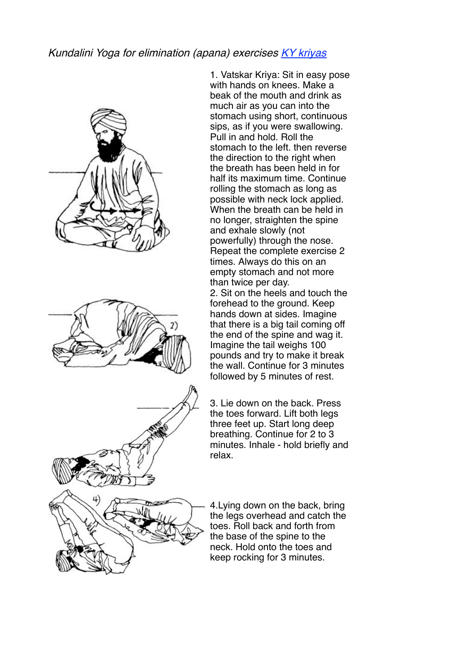## Kundalini Yoga for elimination (apana) exercises KY kriyas







1. Vatskar Kriya: Sit in easy pose with hands on knees. Make a beak of the mouth and drink as much air as you can into the stomach using short, continuous sips, as if you were swallowing. Pull in and hold. Roll the stomach to the left. then reverse the direction to the right when the breath has been held in for half its maximum time. Continue rolling the stomach as long as possible with neck lock applied. When the breath can be held in no longer, straighten the spine and exhale slowly (not powerfully) through the nose. Repeat the complete exercise 2 times. Always do this on an empty stomach and not more than twice per day.

2. Sit on the heels and touch the forehead to the ground. Keep hands down at sides. Imagine that there is a big tail coming off the end of the spine and wag it. Imagine the tail weighs 100 pounds and try to make it break the wall. Continue for 3 minutes followed by 5 minutes of rest.

3. Lie down on the back. Press the toes forward. Lift both legs three feet up. Start long deep breathing. Continue for 2 to 3 minutes. Inhale - hold briefly and relax.

4.Lying down on the back, bring the legs overhead and catch the toes. Roll back and forth from the base of the spine to the neck. Hold onto the toes and keep rocking for 3 minutes.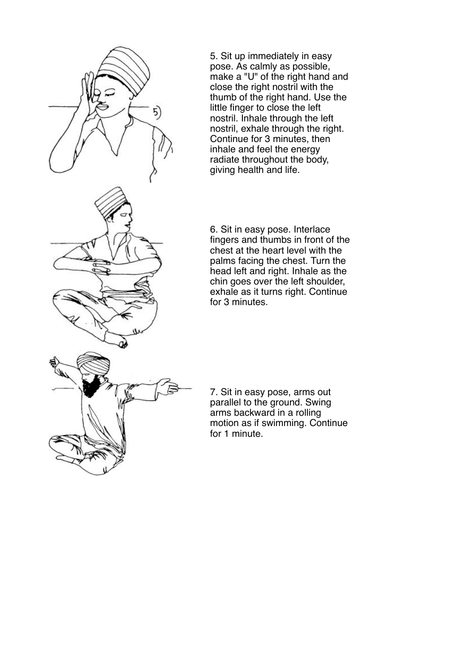

5. Sit up immediately in easy pose. As calmly as possible, make a "U" of the right hand and close the right nostril with the thumb of the right hand. Use the little finger to close the left nostril. Inhale through the left nostril, exhale through the right. Continue for 3 minutes, then inhale and feel the energy radiate throughout the body, giving health and life.

6. Sit in easy pose. Interlace fingers and thumbs in front of the chest at the heart level with the palms facing the chest. Turn the head left and right. Inhale as the chin goes over the left shoulder, exhale as it turns right. Continue for 3 minutes.

7. Sit in easy pose, arms out parallel to the ground. Swing arms backward in a rolling motion as if swimming. Continue for 1 minute.